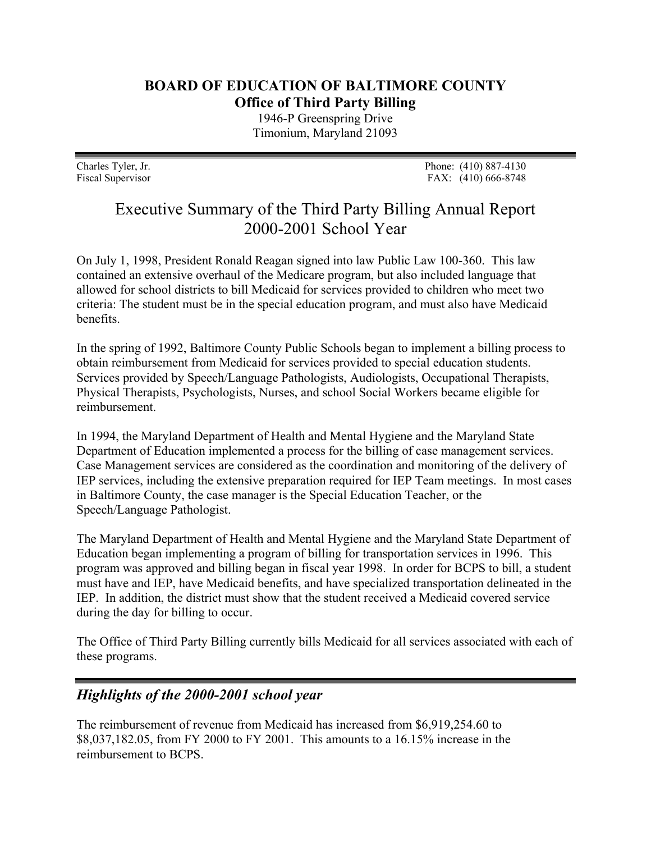## **BOARD OF EDUCATION OF BALTIMORE COUNTY Office of Third Party Billing**

1946-P Greenspring Drive Timonium, Maryland 21093

Charles Tyler, Jr. Phone: (410) 887-4130 Fiscal Supervisor FAX: (410) 666-8748

## Executive Summary of the Third Party Billing Annual Report 2000-2001 School Year

On July 1, 1998, President Ronald Reagan signed into law Public Law 100-360. This law contained an extensive overhaul of the Medicare program, but also included language that allowed for school districts to bill Medicaid for services provided to children who meet two criteria: The student must be in the special education program, and must also have Medicaid benefits.

In the spring of 1992, Baltimore County Public Schools began to implement a billing process to obtain reimbursement from Medicaid for services provided to special education students. Services provided by Speech/Language Pathologists, Audiologists, Occupational Therapists, Physical Therapists, Psychologists, Nurses, and school Social Workers became eligible for reimbursement.

In 1994, the Maryland Department of Health and Mental Hygiene and the Maryland State Department of Education implemented a process for the billing of case management services. Case Management services are considered as the coordination and monitoring of the delivery of IEP services, including the extensive preparation required for IEP Team meetings. In most cases in Baltimore County, the case manager is the Special Education Teacher, or the Speech/Language Pathologist.

The Maryland Department of Health and Mental Hygiene and the Maryland State Department of Education began implementing a program of billing for transportation services in 1996. This program was approved and billing began in fiscal year 1998. In order for BCPS to bill, a student must have and IEP, have Medicaid benefits, and have specialized transportation delineated in the IEP. In addition, the district must show that the student received a Medicaid covered service during the day for billing to occur.

The Office of Third Party Billing currently bills Medicaid for all services associated with each of these programs.

## *Highlights of the 2000-2001 school year*

The reimbursement of revenue from Medicaid has increased from \$6,919,254.60 to \$8,037,182.05, from FY 2000 to FY 2001. This amounts to a 16.15% increase in the reimbursement to BCPS.